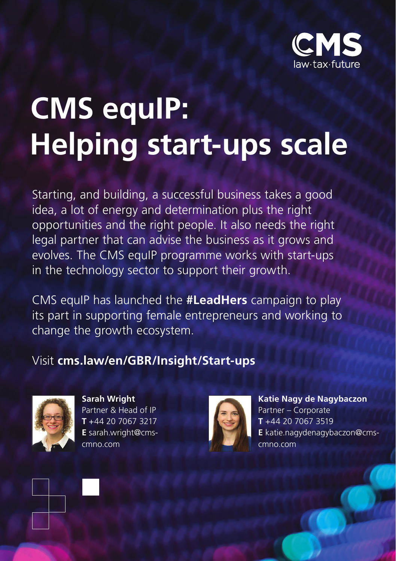

## **CMS equIP: Helping start-ups scale**

Starting, and building, a successful business takes a good idea, a lot of energy and determination plus the right opportunities and the right people. It also needs the right legal partner that can advise the business as it grows and evolves. The CMS equIP programme works with start-ups in the technology sector to support their growth.

CMS equIP has launched the **#LeadHers** campaign to play its part in supporting female entrepreneurs and working to change the growth ecosystem.

## Visit **cms.law/en/GBR/Insight/Start-ups**



**Sarah Wright** Partner & Head of IP **T** +44 20 7067 3217 **E** sarah.wright@cmscmno.com



**Katie Nagy de Nagybaczon** Partner – Corporate **T** +44 20 7067 3519 **E** katie.nagydenagybaczon@cmscmno.com